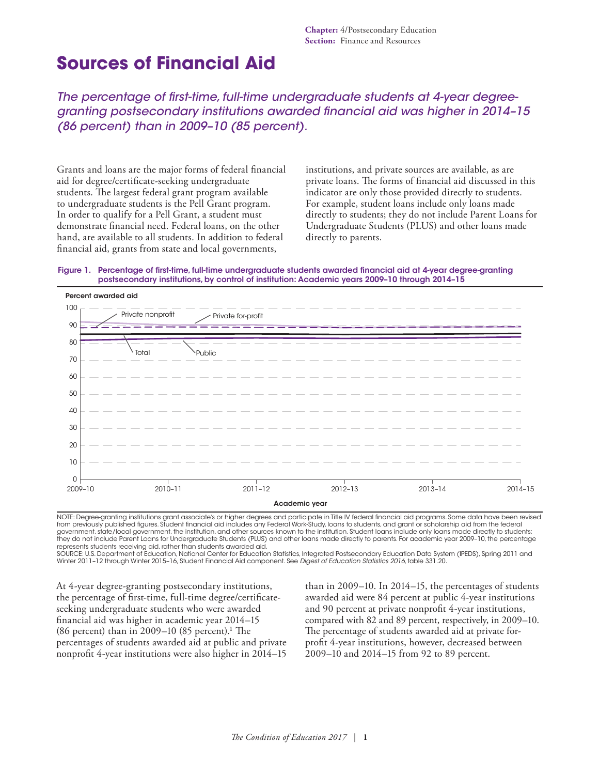# **Sources of Financial Aid**

*The percentage of first-time, full-time undergraduate students at 4-year degreegranting postsecondary institutions awarded financial aid was higher in 2014–15 (86 percent) than in 2009–10 (85 percent).*

Grants and loans are the major forms of federal financial aid for degree/certificate-seeking undergraduate students. The largest federal grant program available to undergraduate students is the Pell Grant program. In order to qualify for a Pell Grant, a student must demonstrate financial need. Federal loans, on the other hand, are available to all students. In addition to federal financial aid, grants from state and local governments,

institutions, and private sources are available, as are private loans. The forms of financial aid discussed in this indicator are only those provided directly to students. For example, student loans include only loans made directly to students; they do not include Parent Loans for Undergraduate Students (PLUS) and other loans made directly to parents.





NOTE: Degree-granting institutions grant associate's or higher degrees and participate in Title IV federal financial aid programs. Some data have been revised from previously published figures. Student financial aid includes any Federal Work-Study, loans to students, and grant or scholarship aid from the federal government, state/local government, the institution, and other sources known to the institution. Student loans include only loans made directly to students; they do not include Parent Loans for Undergraduate Students (PLUS) and other loans made directly to parents. For academic year 2009–10, the percentage represents students receiving aid, rather than students awarded aid. SOURCE: U.S. Department of Education, National Center for Education Statistics, Integrated Postsecondary Education Data System (IPEDS), Spring 2011 and

Winter 2011–12 through Winter 2015–16, Student Financial Aid component. See *Digest of Education Statistics 2016*, table 331.20.

At 4-year degree-granting postsecondary institutions, the percentage of first-time, full-time degree/certificateseeking undergraduate students who were awarded financial aid was higher in academic year 2014–15 (86 percent) than in 2009–10 (85 percent).<sup>1</sup> The percentages of students awarded aid at public and private nonprofit 4-year institutions were also higher in 2014–15 than in 2009–10. In 2014–15, the percentages of students awarded aid were 84 percent at public 4-year institutions and 90 percent at private nonprofit 4-year institutions, compared with 82 and 89 percent, respectively, in 2009–10. The percentage of students awarded aid at private forprofit 4-year institutions, however, decreased between 2009–10 and 2014–15 from 92 to 89 percent.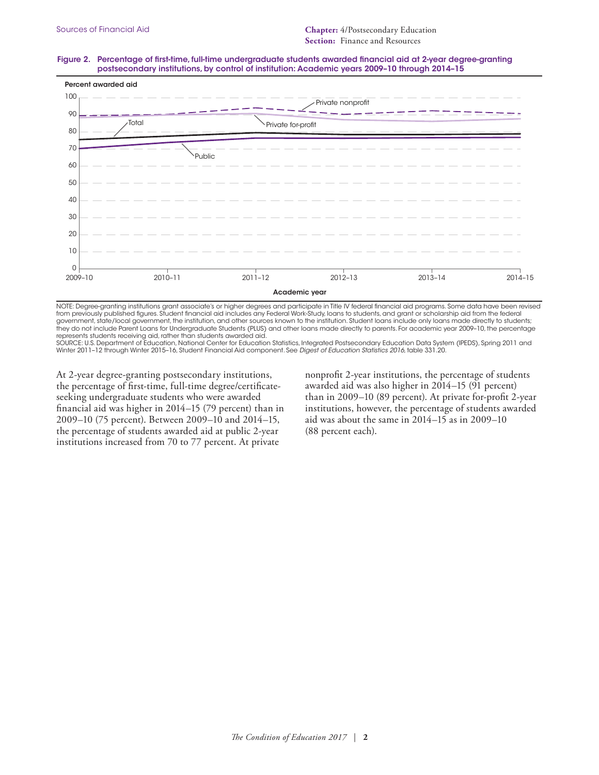#### Figure 2. Percentage of first-time, full-time undergraduate students awarded financial aid at 2-year degree-granting postsecondary institutions, by control of institution: Academic years 2009–10 through 2014–15



NOTE: Degree-granting institutions grant associate's or higher degrees and participate in Title IV federal financial aid programs. Some data have been revised from previously published figures. Student financial aid includes any Federal Work-Study, loans to students, and grant or scholarship aid from the federal government, state/local government, the institution, and other sources known to the institution. Student loans include only loans made directly to students; they do not include Parent Loans for Undergraduate Students (PLUS) and other loans made directly to parents. For academic year 2009–10, the percentage represents students receiving aid, rather than students awarded aid.

SOURCE: U.S. Department of Education, National Center for Education Statistics, Integrated Postsecondary Education Data System (IPEDS), Spring 2011 and Winter 2011–12 through Winter 2015–16, Student Financial Aid component. See *Digest of Education Statistics 2016*, table 331.20.

At 2-year degree-granting postsecondary institutions, the percentage of first-time, full-time degree/certificateseeking undergraduate students who were awarded financial aid was higher in 2014–15 (79 percent) than in 2009–10 (75 percent). Between 2009–10 and 2014–15, the percentage of students awarded aid at public 2-year institutions increased from 70 to 77 percent. At private

nonprofit 2-year institutions, the percentage of students awarded aid was also higher in 2014–15 (91 percent) than in 2009–10 (89 percent). At private for-profit 2-year institutions, however, the percentage of students awarded aid was about the same in 2014–15 as in 2009–10 (88 percent each).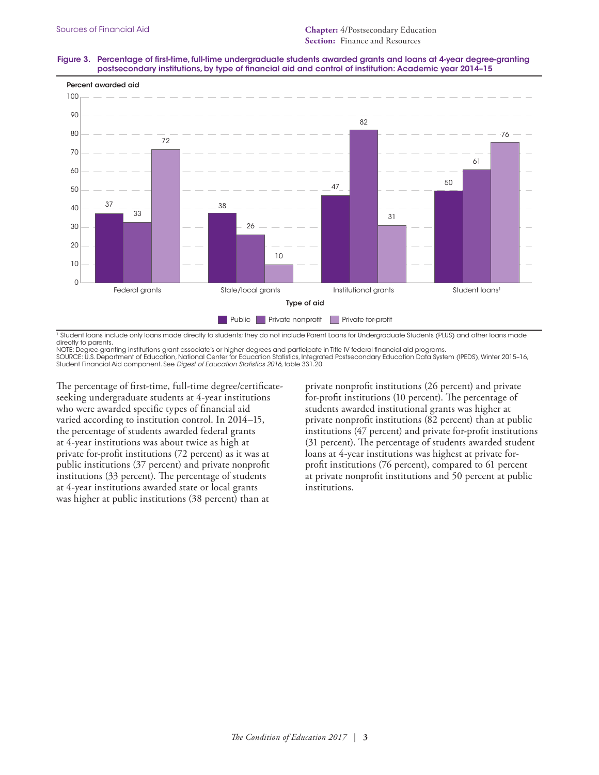### Figure 3. Percentage of first-time, full-time undergraduate students awarded grants and loans at 4-year degree-granting postsecondary institutions, by type of financial aid and control of institution: Academic year 2014–15



<sup>1</sup> Student loans include only loans made directly to students; they do not include Parent Loans for Undergraduate Students (PLUS) and other loans made directly to parents.

NOTE: Degree-granting institutions grant associate's or higher degrees and participate in Title IV federal financial aid programs. SOURCE: U.S. Department of Education, National Center for Education Statistics, Integrated Postsecondary Education Data System (IPEDS), Winter 2015-16,<br>Student Financial Aid component. See *Digest of Education Statistics 2* 

The percentage of first-time, full-time degree/certificateseeking undergraduate students at 4-year institutions who were awarded specific types of financial aid varied according to institution control. In 2014–15, the percentage of students awarded federal grants at 4-year institutions was about twice as high at private for-profit institutions (72 percent) as it was at public institutions (37 percent) and private nonprofit institutions (33 percent). The percentage of students at 4-year institutions awarded state or local grants was higher at public institutions (38 percent) than at

private nonprofit institutions (26 percent) and private for-profit institutions (10 percent). The percentage of students awarded institutional grants was higher at private nonprofit institutions (82 percent) than at public institutions (47 percent) and private for-profit institutions (31 percent). The percentage of students awarded student loans at 4-year institutions was highest at private forprofit institutions (76 percent), compared to 61 percent at private nonprofit institutions and 50 percent at public institutions.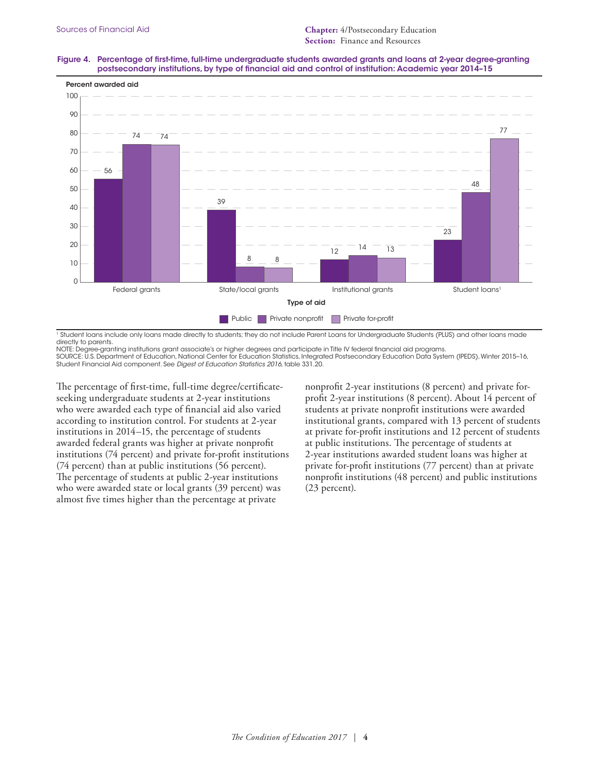### Figure 4. Percentage of first-time, full-time undergraduate students awarded grants and loans at 2-year degree-granting postsecondary institutions, by type of financial aid and control of institution: Academic year 2014–15



<sup>1</sup> Student loans include only loans made directly to students; they do not include Parent Loans for Undergraduate Students (PLUS) and other loans made directly to parents.

NOTE: Degree-granting institutions grant associate's or higher degrees and participate in Title IV federal financial aid programs. SOURCE: U.S. Department of Education, National Center for Education Statistics, Integrated Postsecondary Education Data System (IPEDS), Winter 2015–16, Student Financial Aid component. See *Digest of Education Statistics 2016*, table 331.20.

The percentage of first-time, full-time degree/certificateseeking undergraduate students at 2-year institutions who were awarded each type of financial aid also varied according to institution control. For students at 2-year institutions in 2014–15, the percentage of students awarded federal grants was higher at private nonprofit institutions (74 percent) and private for-profit institutions (74 percent) than at public institutions (56 percent). The percentage of students at public 2-year institutions who were awarded state or local grants (39 percent) was almost five times higher than the percentage at private

nonprofit 2-year institutions (8 percent) and private forprofit 2-year institutions (8 percent). About 14 percent of students at private nonprofit institutions were awarded institutional grants, compared with 13 percent of students at private for-profit institutions and 12 percent of students at public institutions. The percentage of students at 2-year institutions awarded student loans was higher at private for-profit institutions (77 percent) than at private nonprofit institutions (48 percent) and public institutions (23 percent).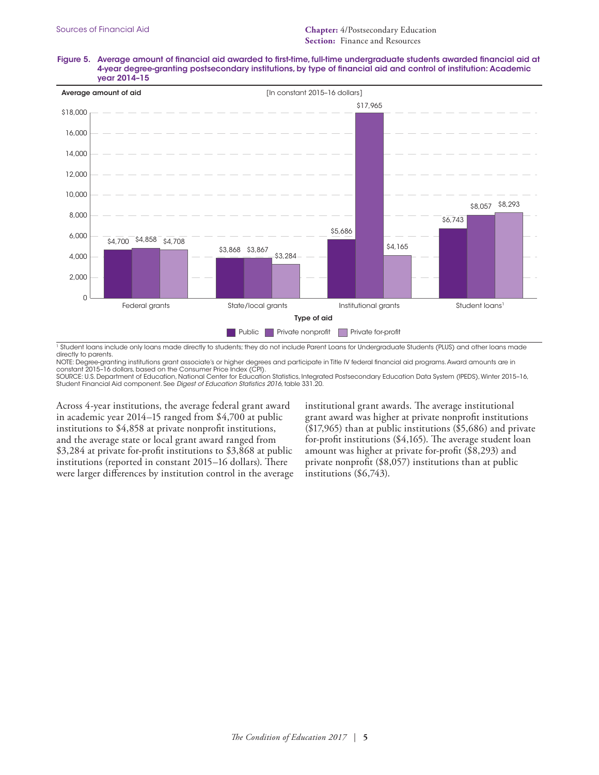Figure 5. Average amount of financial aid awarded to first-time, full-time undergraduate students awarded financial aid at 4-year degree-granting postsecondary institutions, by type of financial aid and control of institution: Academic year 2014–15



<sup>1</sup> Student loans include only loans made directly to students; they do not include Parent Loans for Undergraduate Students (PLUS) and other loans made directly to parents.

NOTE: Degree-granting institutions grant associate's or higher degrees and participate in Title IV federal financial aid programs. Award amounts are in constant 2015–16 dollars, based on the Consumer Price Index (CPI).

SOURCE: U.S. Department of Education, National Center for Education Statistics, Integrated Postsecondary Education Data System (IPEDS), Winter 2015–16, Student Financial Aid component. See *Digest of Education Statistics 2016*, table 331.20.

Across 4-year institutions, the average federal grant award in academic year 2014–15 ranged from \$4,700 at public institutions to \$4,858 at private nonprofit institutions, and the average state or local grant award ranged from \$3,284 at private for-profit institutions to \$3,868 at public institutions (reported in constant 2015–16 dollars). There were larger differences by institution control in the average institutional grant awards. The average institutional grant award was higher at private nonprofit institutions (\$17,965) than at public institutions (\$5,686) and private for-profit institutions (\$4,165). The average student loan amount was higher at private for-profit (\$8,293) and private nonprofit (\$8,057) institutions than at public institutions (\$6,743).